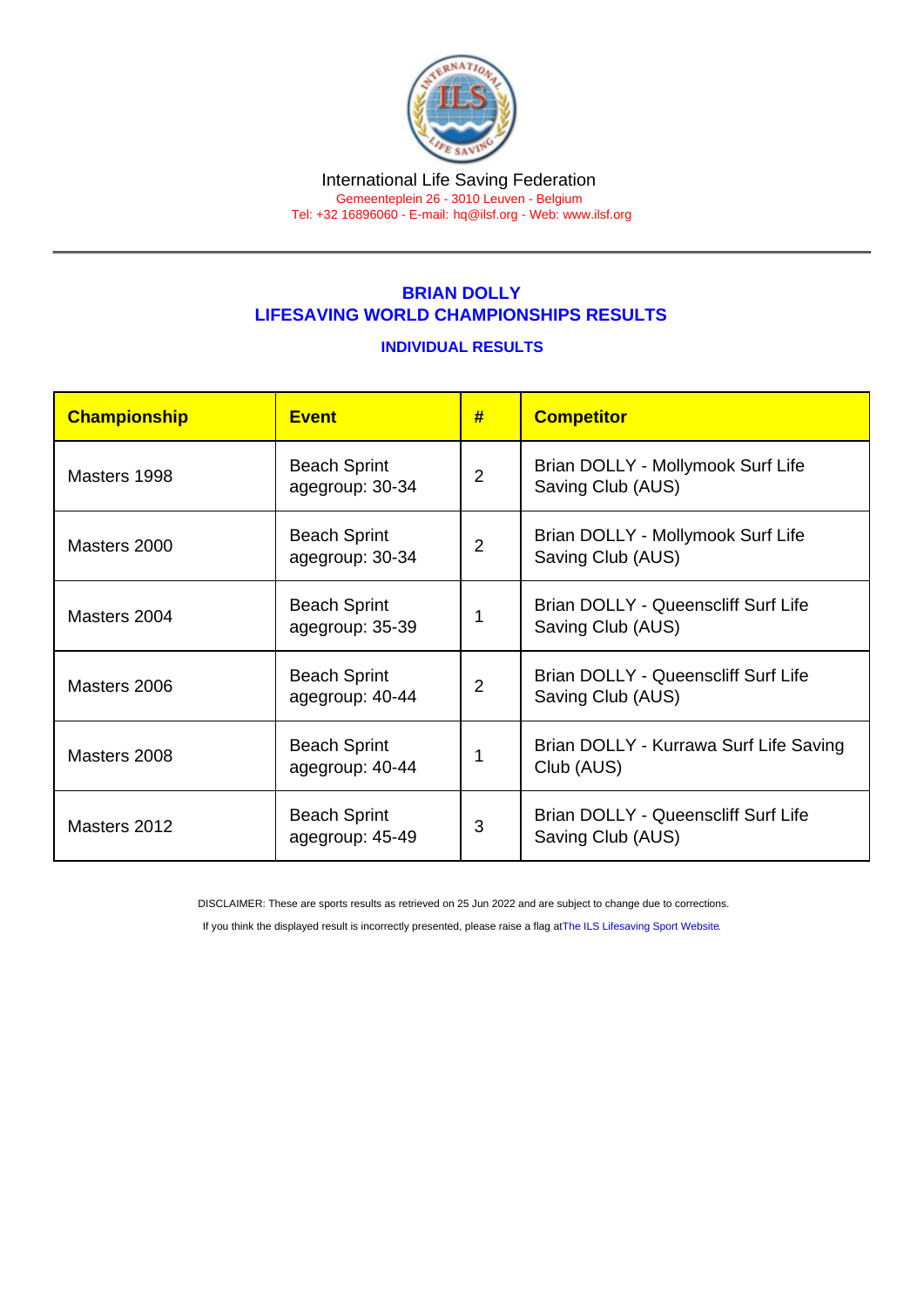#### International Life Saving Federation Gemeenteplein 26 - 3010 Leuven - Belgium

Tel: +32 16896060 - E-mail: [hq@ilsf.org](mailto:hq@ilsf.org) - Web: [www.ilsf.org](https://www.ilsf.org)

# BRIAN DOLLY LIFESAVING WORLD CHAMPIONSHIPS RESULTS

### INDIVIDUAL RESULTS

| Championship | <b>Event</b>                           | #              | <b>Competitor</b>                                        |  |
|--------------|----------------------------------------|----------------|----------------------------------------------------------|--|
| Masters 1998 | <b>Beach Sprint</b><br>agegroup: 30-34 | $\overline{2}$ | Brian DOLLY - Mollymook Surf Life<br>Saving Club (AUS)   |  |
| Masters 2000 | <b>Beach Sprint</b><br>agegroup: 30-34 | $\overline{2}$ | Brian DOLLY - Mollymook Surf Life<br>Saving Club (AUS)   |  |
| Masters 2004 | <b>Beach Sprint</b><br>agegroup: 35-39 | 1              | Brian DOLLY - Queenscliff Surf Life<br>Saving Club (AUS) |  |
| Masters 2006 | <b>Beach Sprint</b><br>agegroup: 40-44 | $\overline{2}$ | Brian DOLLY - Queenscliff Surf Life<br>Saving Club (AUS) |  |
| Masters 2008 | <b>Beach Sprint</b><br>agegroup: 40-44 | 1              | Brian DOLLY - Kurrawa Surf Life Saving<br>Club (AUS)     |  |
| Masters 2012 | <b>Beach Sprint</b><br>agegroup: 45-49 | 3              | Brian DOLLY - Queenscliff Surf Life<br>Saving Club (AUS) |  |

DISCLAIMER: These are sports results as retrieved on 25 Jun 2022 and are subject to change due to corrections.

If you think the displayed result is incorrectly presented, please raise a flag at [The ILS Lifesaving Sport Website.](https://sport.ilsf.org)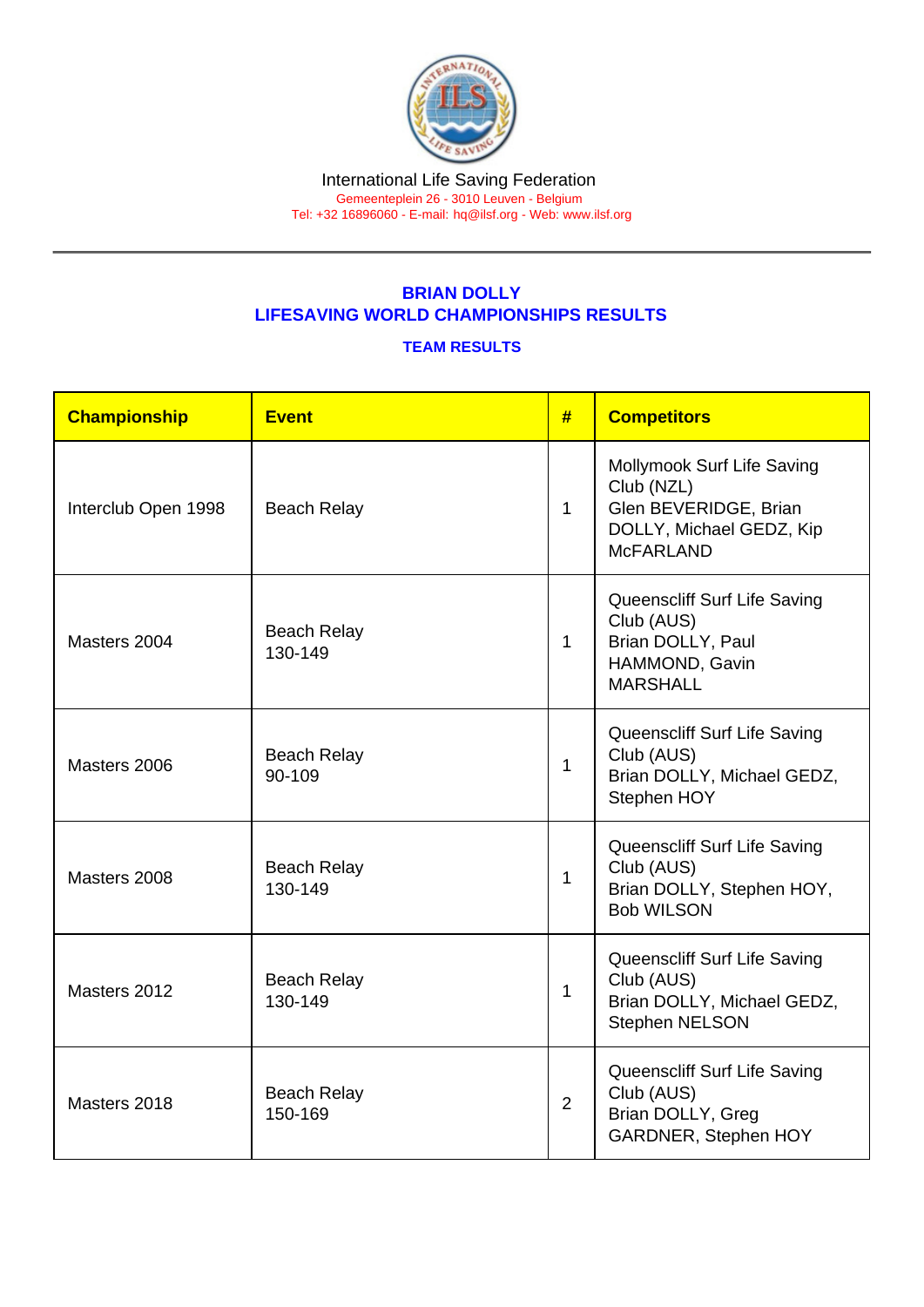# BRIAN DOLLY LIFESAVING WORLD CHAMPIONSHIPS RESULTS

### TEAM RESULTS

| Championship        | <b>Event</b>                  | #              | <b>Competitors</b>                                                                                                |
|---------------------|-------------------------------|----------------|-------------------------------------------------------------------------------------------------------------------|
| Interclub Open 1998 | <b>Beach Relay</b>            | $\mathbf{1}$   | Mollymook Surf Life Saving<br>Club (NZL)<br>Glen BEVERIDGE, Brian<br>DOLLY, Michael GEDZ, Kip<br><b>McFARLAND</b> |
| Masters 2004        | <b>Beach Relay</b><br>130-149 | 1              | Queenscliff Surf Life Saving<br>Club (AUS)<br>Brian DOLLY, Paul<br>HAMMOND, Gavin<br><b>MARSHALL</b>              |
| Masters 2006        | <b>Beach Relay</b><br>90-109  | 1              | Queenscliff Surf Life Saving<br>Club (AUS)<br>Brian DOLLY, Michael GEDZ,<br>Stephen HOY                           |
| Masters 2008        | <b>Beach Relay</b><br>130-149 | $\mathbf{1}$   | Queenscliff Surf Life Saving<br>Club (AUS)<br>Brian DOLLY, Stephen HOY,<br><b>Bob WILSON</b>                      |
| Masters 2012        | <b>Beach Relay</b><br>130-149 | 1              | Queenscliff Surf Life Saving<br>Club (AUS)<br>Brian DOLLY, Michael GEDZ,<br><b>Stephen NELSON</b>                 |
| Masters 2018        | <b>Beach Relay</b><br>150-169 | $\overline{2}$ | Queenscliff Surf Life Saving<br>Club (AUS)<br>Brian DOLLY, Greg<br><b>GARDNER, Stephen HOY</b>                    |